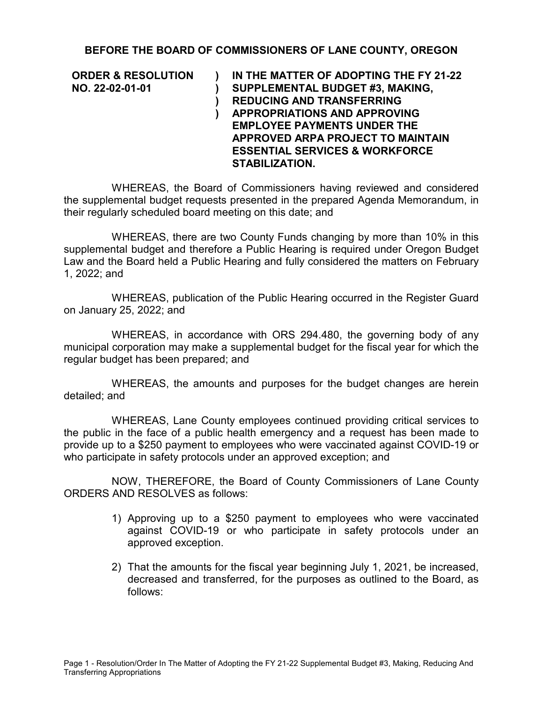## **BEFORE THE BOARD OF COMMISSIONERS OF LANE COUNTY, OREGON**

**ORDER & RESOLUTION NO. 22-02-01-01**

**) ) ) ) IN THE MATTER OF ADOPTING THE FY 21-22 SUPPLEMENTAL BUDGET #3, MAKING, REDUCING AND TRANSFERRING APPROPRIATIONS AND APPROVING EMPLOYEE PAYMENTS UNDER THE APPROVED ARPA PROJECT TO MAINTAIN ESSENTIAL SERVICES & WORKFORCE STABILIZATION.** 

WHEREAS, the Board of Commissioners having reviewed and considered the supplemental budget requests presented in the prepared Agenda Memorandum, in their regularly scheduled board meeting on this date; and

WHEREAS, there are two County Funds changing by more than 10% in this supplemental budget and therefore a Public Hearing is required under Oregon Budget Law and the Board held a Public Hearing and fully considered the matters on February 1, 2022; and

WHEREAS, publication of the Public Hearing occurred in the Register Guard on January 25, 2022; and

WHEREAS, in accordance with ORS 294.480, the governing body of any municipal corporation may make a supplemental budget for the fiscal year for which the regular budget has been prepared; and

WHEREAS, the amounts and purposes for the budget changes are herein detailed; and

WHEREAS, Lane County employees continued providing critical services to the public in the face of a public health emergency and a request has been made to provide up to a \$250 payment to employees who were vaccinated against COVID-19 or who participate in safety protocols under an approved exception; and

NOW, THEREFORE, the Board of County Commissioners of Lane County ORDERS AND RESOLVES as follows:

- 1) Approving up to a \$250 payment to employees who were vaccinated against COVID-19 or who participate in safety protocols under an approved exception.
- 2) That the amounts for the fiscal year beginning July 1, 2021, be increased, decreased and transferred, for the purposes as outlined to the Board, as follows: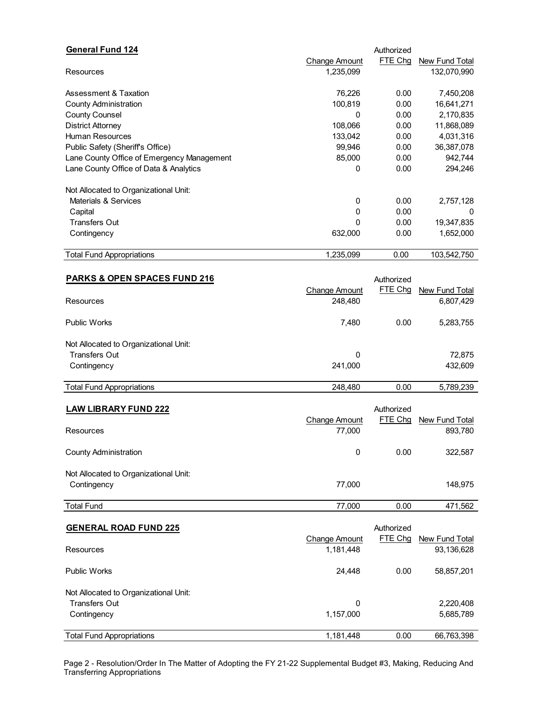| Change Amount |                   |                |
|---------------|-------------------|----------------|
|               | FTE Chg           | New Fund Total |
| 1,235,099     |                   | 132,070,990    |
|               |                   |                |
|               |                   | 7,450,208      |
|               |                   | 16,641,271     |
| 0             | 0.00              | 2,170,835      |
| 108,066       | 0.00              | 11,868,089     |
| 133,042       | 0.00              | 4,031,316      |
| 99,946        | 0.00              | 36,387,078     |
| 85,000        | 0.00              | 942,744        |
| 0             | 0.00              | 294,246        |
|               |                   |                |
| 0             | 0.00              | 2,757,128      |
| 0             | 0.00              | 0              |
| 0             | 0.00              | 19,347,835     |
| 632,000       | 0.00              | 1,652,000      |
| 1,235,099     | 0.00              | 103,542,750    |
|               | 76,226<br>100,819 | 0.00<br>0.00   |

| <b>PARKS &amp; OPEN SPACES FUND 216</b> |               |         |                |
|-----------------------------------------|---------------|---------|----------------|
|                                         | Change Amount | FTE Chq | New Fund Total |
| Resources                               | 248.480       |         | 6,807,429      |
| <b>Public Works</b>                     | 7,480         | 0.00    | 5,283,755      |
| Not Allocated to Organizational Unit:   |               |         |                |
| Transfers Out                           | 0             |         | 72.875         |
| Contingency                             | 241.000       |         | 432,609        |
| <b>Total Fund Appropriations</b>        | 248.480       | 0.00    | 5,789,239      |

| <b>LAW LIBRARY FUND 222</b><br>Resources             | <b>Change Amount</b><br>77.000 | Authorized<br>FTE Chq | New Fund Total<br>893,780 |
|------------------------------------------------------|--------------------------------|-----------------------|---------------------------|
| <b>County Administration</b>                         | 0                              | 0.00                  | 322,587                   |
| Not Allocated to Organizational Unit:<br>Contingency | 77.000                         |                       | 148.975                   |
| <b>Total Fund</b>                                    | 77.000                         | 0.00                  | 471,562                   |

| <b>GENERAL ROAD FUND 225</b>          |                      | Authorized |                |
|---------------------------------------|----------------------|------------|----------------|
|                                       | <b>Change Amount</b> | FTE Chg    | New Fund Total |
| Resources                             | 1,181,448            |            | 93,136,628     |
| <b>Public Works</b>                   | 24.448               | 0.00       | 58,857,201     |
| Not Allocated to Organizational Unit: |                      |            |                |
| Transfers Out                         | 0                    |            | 2,220,408      |
| Contingency                           | 1,157,000            |            | 5,685,789      |
| <b>Total Fund Appropriations</b>      | 1,181,448            | 0.00       | 66,763,398     |

Page 2 - Resolution/Order In The Matter of Adopting the FY 21-22 Supplemental Budget #3, Making, Reducing And Transferring Appropriations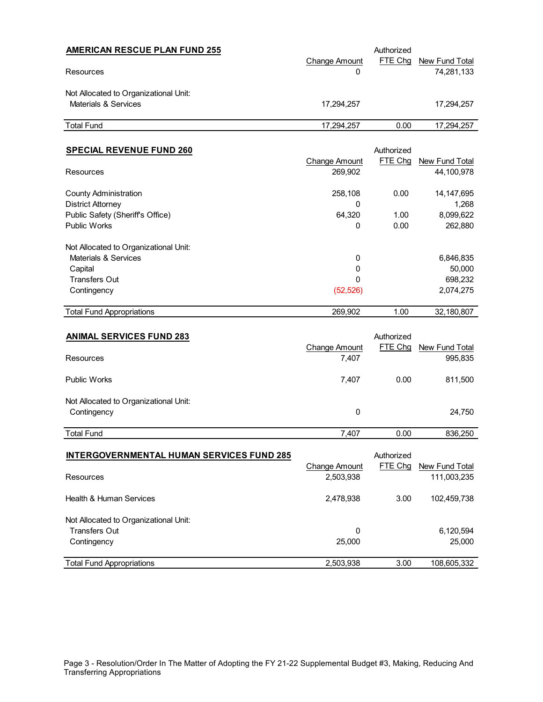| <b>AMERICAN RESCUE PLAN FUND 255</b>  |                      | Authorized |                |
|---------------------------------------|----------------------|------------|----------------|
|                                       | <b>Change Amount</b> | FTE Chq    | New Fund Total |
| Resources                             | 0                    |            | 74,281,133     |
| Not Allocated to Organizational Unit: |                      |            |                |
| Materials & Services                  | 17.294.257           |            | 17.294.257     |
| <b>Total Fund</b>                     | 17.294.257           | 0.00       | 17,294,257     |

| <b>SPECIAL REVENUE FUND 260</b>       |                      | Authorized |                |
|---------------------------------------|----------------------|------------|----------------|
|                                       | <b>Change Amount</b> | FTE Chq    | New Fund Total |
| Resources                             | 269,902              |            | 44,100,978     |
| <b>County Administration</b>          | 258,108              | 0.00       | 14, 147, 695   |
| <b>District Attorney</b>              | 0                    |            | 1,268          |
| Public Safety (Sheriff's Office)      | 64.320               | 1.00       | 8,099,622      |
| <b>Public Works</b>                   | 0                    | 0.00       | 262,880        |
| Not Allocated to Organizational Unit: |                      |            |                |
| Materials & Services                  | 0                    |            | 6,846,835      |
| Capital                               | 0                    |            | 50,000         |
| <b>Transfers Out</b>                  | 0                    |            | 698,232        |
| Contingency                           | (52, 526)            |            | 2,074,275      |
| <b>Total Fund Appropriations</b>      | 269,902              | 1.00       | 32,180,807     |

| <b>ANIMAL SERVICES FUND 283</b>       | <b>Change Amount</b> | Authorized<br>FTE Chg | New Fund Total |
|---------------------------------------|----------------------|-----------------------|----------------|
| Resources                             | 7,407                |                       | 995,835        |
| <b>Public Works</b>                   | 7.407                | 0.00                  | 811,500        |
| Not Allocated to Organizational Unit: |                      |                       |                |
| Contingency                           | 0                    |                       | 24,750         |
| <b>Total Fund</b>                     | 7.407                | 0.00                  | 836,250        |

| <b>INTERGOVERNMENTAL HUMAN SERVICES FUND 285</b> |               | Authorized |                |
|--------------------------------------------------|---------------|------------|----------------|
|                                                  | Change Amount | FTE Chq    | New Fund Total |
| Resources                                        | 2,503,938     |            | 111,003,235    |
| Health & Human Services                          | 2,478,938     | 3.00       | 102,459,738    |
| Not Allocated to Organizational Unit:            |               |            |                |
| <b>Transfers Out</b>                             | 0             |            | 6,120,594      |
| Contingency                                      | 25,000        |            | 25,000         |
| <b>Total Fund Appropriations</b>                 | 2,503,938     | 3.00       | 108,605,332    |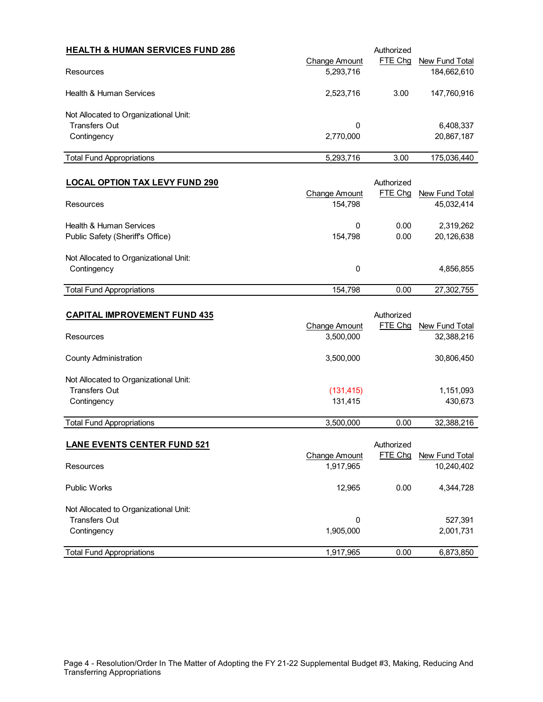| <b>HEALTH &amp; HUMAN SERVICES FUND 286</b> | Change Amount | Authorized<br>FTE Chq | New Fund Total |
|---------------------------------------------|---------------|-----------------------|----------------|
| Resources                                   | 5,293,716     |                       | 184,662,610    |
| Health & Human Services                     | 2,523,716     | 3.00                  | 147,760,916    |
| Not Allocated to Organizational Unit:       |               |                       |                |
| <b>Transfers Out</b>                        | 0             |                       | 6,408,337      |
| Contingency                                 | 2,770,000     |                       | 20,867,187     |
| <b>Total Fund Appropriations</b>            | 5,293,716     | 3.00                  | 175,036,440    |

| <b>LOCAL OPTION TAX LEVY FUND 290</b> |               | Authorized |                |
|---------------------------------------|---------------|------------|----------------|
|                                       | Change Amount | FTE Chq    | New Fund Total |
| Resources                             | 154.798       |            | 45,032,414     |
| <b>Health &amp; Human Services</b>    | 0             | 0.00       | 2,319,262      |
| Public Safety (Sheriff's Office)      | 154.798       | 0.00       | 20,126,638     |
| Not Allocated to Organizational Unit: |               |            |                |
| Contingency                           | 0             |            | 4,856,855      |
| <b>Total Fund Appropriations</b>      | 154.798       | 0.00       | 27,302,755     |

| <b>CAPITAL IMPROVEMENT FUND 435</b>   |                      | Authorized |                |
|---------------------------------------|----------------------|------------|----------------|
|                                       | <b>Change Amount</b> | FTE Chg    | New Fund Total |
| Resources                             | 3,500,000            |            | 32,388,216     |
| <b>County Administration</b>          | 3,500,000            |            | 30,806,450     |
| Not Allocated to Organizational Unit: |                      |            |                |
| <b>Transfers Out</b>                  | (131, 415)           |            | 1,151,093      |
| Contingency                           | 131.415              |            | 430,673        |
| <b>Total Fund Appropriations</b>      | 3,500,000            | 0.00       | 32,388,216     |

| <b>LANE EVENTS CENTER FUND 521</b>    |               | Authorized |                |
|---------------------------------------|---------------|------------|----------------|
|                                       | Change Amount | FTE Chq    | New Fund Total |
| Resources                             | 1,917,965     |            | 10,240,402     |
| Public Works                          | 12.965        | 0.00       | 4,344,728      |
| Not Allocated to Organizational Unit: |               |            |                |
| <b>Transfers Out</b>                  | 0             |            | 527,391        |
| Contingency                           | 1,905,000     |            | 2,001,731      |
| <b>Total Fund Appropriations</b>      | 1,917,965     | 0.00       | 6,873,850      |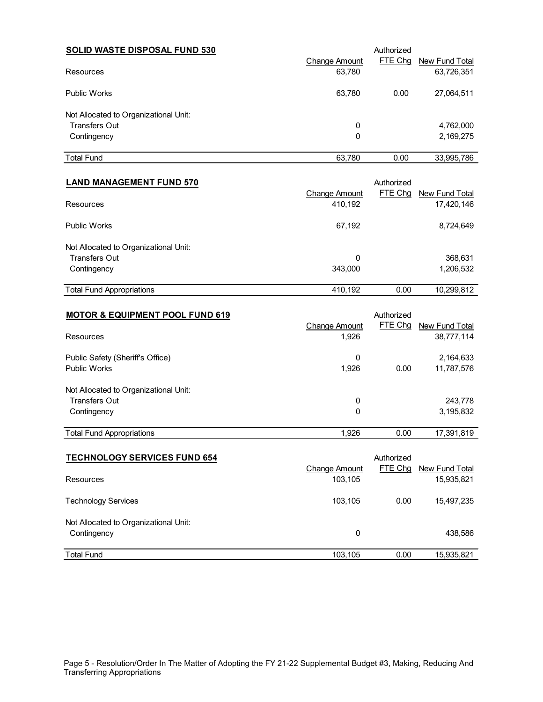| <b>SOLID WASTE DISPOSAL FUND 530</b><br>Resources |               | Authorized |                              |  |  |
|---------------------------------------------------|---------------|------------|------------------------------|--|--|
|                                                   | Change Amount | FTE Chq    | New Fund Total<br>63,726,351 |  |  |
|                                                   | 63,780        |            |                              |  |  |
| <b>Public Works</b>                               | 63,780        | 0.00       | 27,064,511                   |  |  |
| Not Allocated to Organizational Unit:             |               |            |                              |  |  |
| Transfers Out                                     | 0             |            |                              |  |  |
| Contingency                                       | 0             |            | 2,169,275                    |  |  |
| <b>Total Fund</b>                                 | 63,780        | 0.00       | 33,995,786                   |  |  |

| <b>LAND MANAGEMENT FUND 570</b>       |               | Authorized |                |
|---------------------------------------|---------------|------------|----------------|
|                                       | Change Amount | FTE Chq    | New Fund Total |
| Resources                             | 410,192       |            | 17,420,146     |
| <b>Public Works</b>                   | 67.192        |            | 8,724,649      |
| Not Allocated to Organizational Unit: |               |            |                |
| Transfers Out                         | 0             |            | 368,631        |
| Contingency                           | 343.000       |            | 1,206,532      |
| <b>Total Fund Appropriations</b>      | 410.192       | 0.00       | 10,299,812     |

| <b>MOTOR &amp; EQUIPMENT POOL FUND 619</b> |                      | Authorized |                |
|--------------------------------------------|----------------------|------------|----------------|
|                                            | <b>Change Amount</b> | FTE Chg    | New Fund Total |
| Resources                                  | 1,926                |            | 38,777,114     |
| Public Safety (Sheriff's Office)           | 0                    |            | 2,164,633      |
| <b>Public Works</b>                        | 1,926                | 0.00       | 11,787,576     |
|                                            |                      |            |                |
| Not Allocated to Organizational Unit:      |                      |            |                |
| <b>Transfers Out</b>                       | 0                    |            | 243,778        |
| Contingency                                | 0                    |            | 3,195,832      |
|                                            |                      |            |                |
| <b>Total Fund Appropriations</b>           | 1,926                | 0.00       | 17,391,819     |

| <b>TECHNOLOGY SERVICES FUND 654</b>   | Change Amount | Authorized<br>FTE Chg | New Fund Total |
|---------------------------------------|---------------|-----------------------|----------------|
| Resources                             | 103.105       |                       | 15,935,821     |
| <b>Technology Services</b>            | 103.105       | 0.00                  | 15,497,235     |
| Not Allocated to Organizational Unit: |               |                       |                |
| Contingency                           | 0             |                       | 438.586        |
| <b>Total Fund</b>                     | 103,105       | 0.00                  | 15,935,821     |